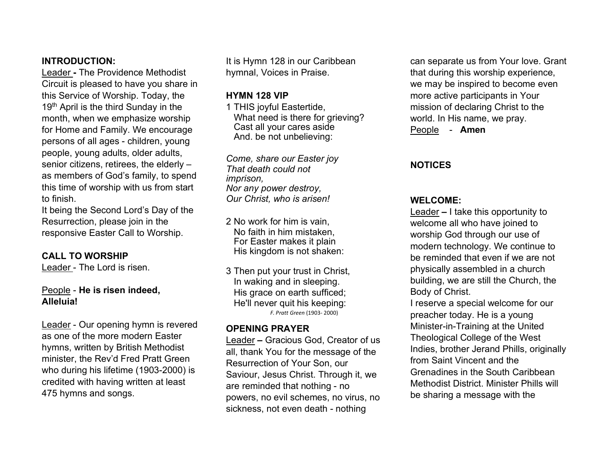## **INTRODUCTION:**

Leader **-** The Providence Methodist Circuit is pleased to have you share in this Service of Worship. Today, the 19<sup>th</sup> April is the third Sunday in the month, when we emphasize worship for Home and Family. We encourage persons of all ages - children, young people, young adults, older adults, senior citizens, retirees, the elderly – as members of God's family, to spend this time of worship with us from start to finish.

It being the Second Lord's Day of the Resurrection, please join in the responsive Easter Call to Worship.

## **CALL TO WORSHIP**

Leader - The Lord is risen.

## People - **He is risen indeed, Alleluia!**

Leader - Our opening hymn is revered as one of the more modern Easter hymns, written by British Methodist minister, the Rev'd Fred Pratt Green who during his lifetime (1903-2000) is credited with having written at least 475 hymns and songs.

It is Hymn 128 in our Caribbean hymnal, Voices in Praise.

## **HYMN 128 VIP**

1 THIS joyful Eastertide, What need is there for grieving? Cast all your cares aside And. be not unbelieving:

*Come, share our Easter joy That death could not imprison, Nor any power destroy, Our Christ, who is arisen!*

- 2 No work for him is vain, No faith in him mistaken, For Easter makes it plain His kingdom is not shaken:
- 3 Then put your trust in Christ, In waking and in sleeping. His grace on earth sufficed; He'll never quit his keeping: *F. Pratt Green* (1903- 2000)

## **OPENING PRAYER**

Leader **–** Gracious God, Creator of us all, thank You for the message of the Resurrection of Your Son, our Saviour, Jesus Christ. Through it, we are reminded that nothing - no powers, no evil schemes, no virus, no sickness, not even death - nothing

can separate us from Your love. Grant that during this worship experience, we may be inspired to become even more active participants in Your mission of declaring Christ to the world. In His name, we pray. People - **Amen**

## **NOTICES**

## **WELCOME:**

Leader **–** I take this opportunity to welcome all who have joined to worship God through our use of modern technology. We continue to be reminded that even if we are not physically assembled in a church building, we are still the Church, the Body of Christ.

I reserve a special welcome for our preacher today. He is a young Minister-in-Training at the United Theological College of the West Indies, brother Jerand Phills, originally from Saint Vincent and the Grenadines in the South Caribbean Methodist District. Minister Phills will be sharing a message with the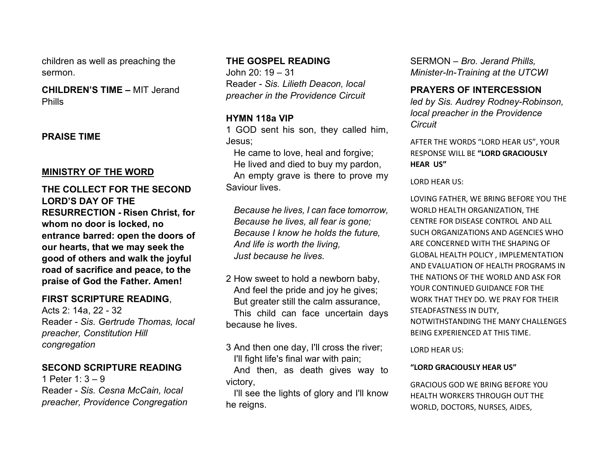children as well as preaching the sermon.

**CHILDREN'S TIME –** MIT Jerand Phills

## **PRAISE TIME**

## **MINISTRY OF THE WORD**

**THE COLLECT FOR THE SECOND LORD'S DAY OF THE RESURRECTION - Risen Christ, for whom no door is locked, no entrance barred: open the doors of our hearts, that we may seek the good of others and walk the joyful road of sacrifice and peace, to the praise of God the Father. Amen!**

## **FIRST SCRIPTURE READING**,

Acts 2: 14a, 22 - 32 Reader - *Sis. Gertrude Thomas, local preacher, Constitution Hill congregation*

## **SECOND SCRIPTURE READING**

1 Peter 1: 3 – 9 Reader - *Sis. Cesna McCain, local preacher, Providence Congregation*

## **THE GOSPEL READING**

John 20: 19 – 31 Reader - *Sis. Lilieth Deacon, local preacher in the Providence Circuit*

## **HYMN 118a VIP**

1 GOD sent his son, they called him, Jesus;

 He came to love, heal and forgive; He lived and died to buy my pardon, An empty grave is there to prove my Saviour lives.

 *Because he lives, I can face tomorrow, Because he lives, all fear is gone; Because I know he holds the future, And life is worth the living, Just because he lives.*

- 2 How sweet to hold a newborn baby, And feel the pride and joy he gives; But greater still the calm assurance, This child can face uncertain days because he lives.
- 3 And then one day, I'll cross the river; I'll fight life's final war with pain;

 And then, as death gives way to victory,

 I'll see the lights of glory and I'll know he reigns.

SERMON – *Bro. Jerand Phills, Minister-In-Training at the UTCWI*

## **PRAYERS OF INTERCESSION**

*led by Sis. Audrey Rodney-Robinson, local preacher in the Providence Circuit*

AFTER THE WORDS "LORD HEAR US", YOUR RESPONSE WILL BE **"LORD GRACIOUSLY HEAR US"**

LORD HEAR US:

LOVING FATHER, WE BRING BEFORE YOU THE WORLD HEALTH ORGANIZATION, THE CENTRE FOR DISEASE CONTROL AND ALL SUCH ORGANIZATIONS AND AGENCIES WHO ARE CONCERNED WITH THE SHAPING OF GLOBAL HEALTH POLICY , IMPLEMENTATION AND EVALUATION OF HEALTH PROGRAMS IN THE NATIONS OF THE WORLD AND ASK FOR YOUR CONTINUED GUIDANCE FOR THE WORK THAT THEY DO. WE PRAY FOR THEIR STEADFASTNESS IN DUTY, NOTWITHSTANDING THE MANY CHALLENGES BEING EXPERIENCED AT THIS TIME.

LORD HEAR US:

### **"LORD GRACIOUSLY HEAR US"**

GRACIOUS GOD WE BRING BEFORE YOU HEALTH WORKERS THROUGH OUT THE WORLD, DOCTORS, NURSES, AIDES,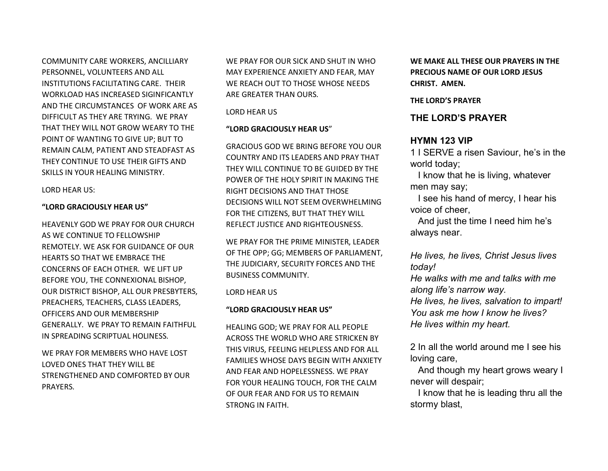COMMUNITY CARE WORKERS, ANCILLIARY PERSONNEL, VOLUNTEERS AND ALL INSTITUTIONS FACILITATING CARE. THEIR WORKLOAD HAS INCREASED SIGINFICANTLY AND THE CIRCUMSTANCES OF WORK ARE AS DIFFICULT AS THEY ARE TRYING. WE PRAY THAT THEY WILL NOT GROW WEARY TO THE POINT OF WANTING TO GIVE UP; BUT TO REMAIN CALM, PATIENT AND STEADFAST AS THEY CONTINUE TO USE THEIR GIFTS AND SKILLS IN YOUR HEALING MINISTRY.

LORD HEAR US:

### **"LORD GRACIOUSLY HEAR US"**

HEAVENLY GOD WE PRAY FOR OUR CHURCH AS WE CONTINUE TO FELLOWSHIP REMOTELY. WE ASK FOR GUIDANCE OF OUR HEARTS SO THAT WE EMBRACE THE CONCERNS OF EACH OTHER. WE LIFT UP BEFORE YOU, THE CONNEXIONAL BISHOP, OUR DISTRICT BISHOP, ALL OUR PRESBYTERS, PREACHERS, TEACHERS, CLASS LEADERS, OFFICERS AND OUR MEMBERSHIP GENERALLY. WE PRAY TO REMAIN FAITHFUL IN SPREADING SCRIPTUAL HOLINESS.

WE PRAY FOR MEMBERS WHO HAVE LOST LOVED ONES THAT THEY WILL BE STRENGTHENED AND COMFORTED BY OUR PRAYERS.

WE PRAY FOR OUR SICK AND SHUT IN WHO MAY EXPERIENCE ANXIETY AND FEAR, MAY WE REACH OUT TO THOSE WHOSE NEEDS ARE GREATER THAN OURS.

LORD HEAR US

#### **"LORD GRACIOUSLY HEAR US**"

GRACIOUS GOD WE BRING BEFORE YOU OUR COUNTRY AND ITS LEADERS AND PRAY THAT THEY WILL CONTINUE TO BE GUIDED BY THE POWER OF THE HOLY SPIRIT IN MAKING THE RIGHT DECISIONS AND THAT THOSE DECISIONS WILL NOT SEEM OVERWHELMING FOR THE CITIZENS, BUT THAT THEY WILL REFLECT JUSTICE AND RIGHTEOUSNESS.

WE PRAY FOR THE PRIME MINISTER, LEADER OF THE OPP; GG; MEMBERS OF PARLIAMENT, THE JUDICIARY, SECURITY FORCES AND THE BUSINESS COMMUNITY.

### LORD HEAR US

### **"LORD GRACIOUSLY HEAR US"**

HEALING GOD; WE PRAY FOR ALL PEOPLE ACROSS THE WORLD WHO ARE STRICKEN BY THIS VIRUS, FEELING HELPLESS AND FOR ALL FAMILIES WHOSE DAYS BEGIN WITH ANXIETY AND FEAR AND HOPELESSNESS. WE PRAY FOR YOUR HEALING TOUCH, FOR THE CALM OF OUR FEAR AND FOR US TO REMAIN STRONG IN FAITH.

**WE MAKE ALL THESE OUR PRAYERS IN THE PRECIOUS NAME OF OUR LORD JESUS CHRIST. AMEN.**

#### **THE LORD'S PRAYER**

### **THE LORD'S PRAYER**

### **HYMN 123 VIP**

1 I SERVE a risen Saviour, he's in the world today;

 I know that he is living, whatever men may say;

 I see his hand of mercy, I hear his voice of cheer,

 And just the time I need him he's always near.

*He lives, he lives, Christ Jesus lives today!*

*He walks with me and talks with me along life's narrow way.*

*He lives, he lives, salvation to impart! You ask me how I know he lives? He lives within my heart.*

2 In all the world around me I see his loving care,

 And though my heart grows weary I never will despair;

 I know that he is leading thru all the stormy blast,